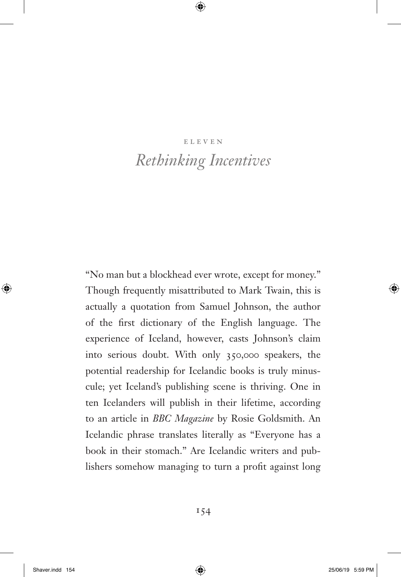# eleven *Rethinking Incentives*

"No man but a blockhead ever wrote, except for money." Though frequently misattributed to Mark Twain, this is actually a quotation from Samuel Johnson, the author of the first dictionary of the English language. The experience of Iceland, however, casts Johnson's claim into serious doubt. With only 350,000 speakers, the potential readership for Icelandic books is truly minuscule; yet Iceland's publishing scene is thriving. One in ten Icelanders will publish in their lifetime, according to an article in *BBC Magazine* by Rosie Goldsmith. An Icelandic phrase translates literally as "Everyone has a book in their stomach." Are Icelandic writers and publishers somehow managing to turn a profit against long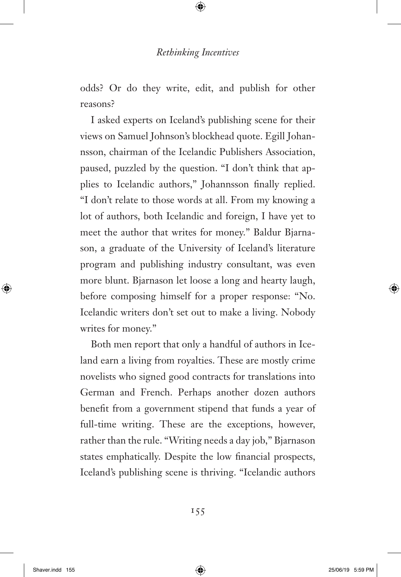odds? Or do they write, edit, and publish for other reasons?

I asked experts on Iceland's publishing scene for their views on Samuel Johnson's blockhead quote. Egill Johannsson, chairman of the Icelandic Publishers Association, paused, puzzled by the question. "I don't think that applies to Icelandic authors," Johannsson finally replied. "I don't relate to those words at all. From my knowing a lot of authors, both Icelandic and foreign, I have yet to meet the author that writes for money." Baldur Bjarnason, a graduate of the University of Iceland's literature program and publishing industry consultant, was even more blunt. Bjarnason let loose a long and hearty laugh, before composing himself for a proper response: "No. Icelandic writers don't set out to make a living. Nobody writes for money."

Both men report that only a handful of authors in Iceland earn a living from royalties. These are mostly crime novelists who signed good contracts for translations into German and French. Perhaps another dozen authors benefit from a government stipend that funds a year of full-time writing. These are the exceptions, however, rather than the rule. "Writing needs a day job," Bjarnason states emphatically. Despite the low financial prospects, Iceland's publishing scene is thriving. "Icelandic authors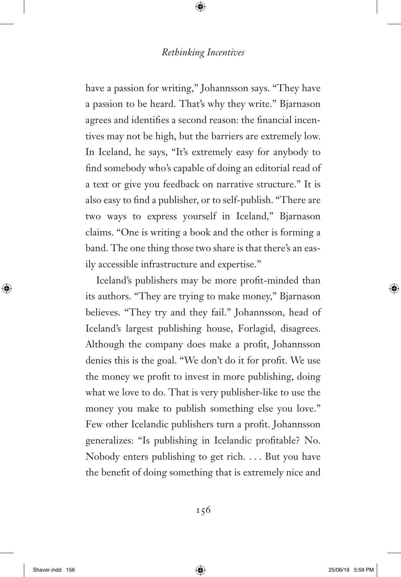have a passion for writing," Johannsson says. "They have a passion to be heard. That's why they write." Bjarnason agrees and identifies a second reason: the financial incentives may not be high, but the barriers are extremely low. In Iceland, he says, "It's extremely easy for anybody to find somebody who's capable of doing an editorial read of a text or give you feedback on narrative structure." It is also easy to find a publisher, or to self-publish. "There are two ways to express yourself in Iceland," Bjarnason claims. "One is writing a book and the other is forming a band. The one thing those two share is that there's an easily accessible infrastructure and expertise."

Iceland's publishers may be more profit-minded than its authors. "They are trying to make money," Bjarnason believes. "They try and they fail." Johannsson, head of Iceland's largest publishing house, Forlagid, disagrees. Although the company does make a profit, Johannsson denies this is the goal. "We don't do it for profit. We use the money we profit to invest in more publishing, doing what we love to do. That is very publisher-like to use the money you make to publish something else you love." Few other Icelandic publishers turn a profit. Johannsson generalizes: "Is publishing in Icelandic profitable? No. Nobody enters publishing to get rich. . . . But you have the benefit of doing something that is extremely nice and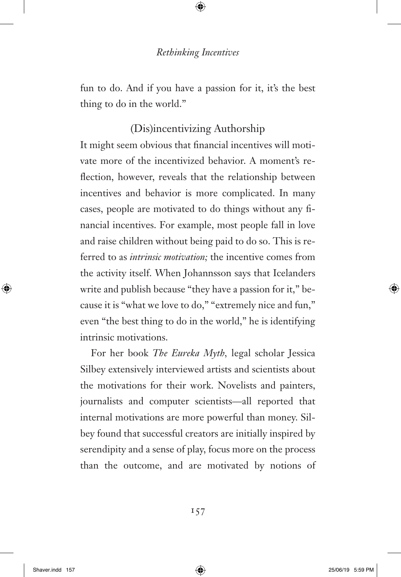fun to do. And if you have a passion for it, it's the best thing to do in the world."

# (Dis)incentivizing Authorship

It might seem obvious that financial incentives will motivate more of the incentivized behavior. A moment's reflection, however, reveals that the relationship between incentives and behavior is more complicated. In many cases, people are motivated to do things without any financial incentives. For example, most people fall in love and raise children without being paid to do so. This is referred to as *intrinsic motivation;* the incentive comes from the activity itself. When Johannsson says that Icelanders write and publish because "they have a passion for it," because it is "what we love to do," "extremely nice and fun," even "the best thing to do in the world," he is identifying intrinsic motivations.

For her book *The Eureka Myth,* legal scholar Jessica Silbey extensively interviewed artists and scientists about the motivations for their work. Novelists and painters, journalists and computer scientists—all reported that internal motivations are more powerful than money. Silbey found that successful creators are initially inspired by serendipity and a sense of play, focus more on the process than the outcome, and are motivated by notions of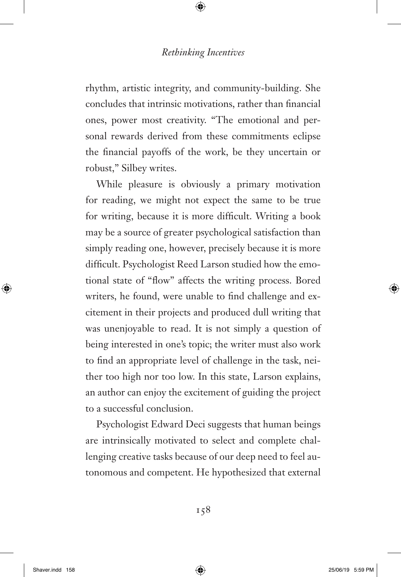rhythm, artistic integrity, and community-building. She concludes that intrinsic motivations, rather than financial ones, power most creativity. "The emotional and personal rewards derived from these commitments eclipse the financial payoffs of the work, be they uncertain or robust," Silbey writes.

While pleasure is obviously a primary motivation for reading, we might not expect the same to be true for writing, because it is more difficult. Writing a book may be a source of greater psychological satisfaction than simply reading one, however, precisely because it is more difficult. Psychologist Reed Larson studied how the emotional state of "flow" affects the writing process. Bored writers, he found, were unable to find challenge and excitement in their projects and produced dull writing that was unenjoyable to read. It is not simply a question of being interested in one's topic; the writer must also work to find an appropriate level of challenge in the task, neither too high nor too low. In this state, Larson explains, an author can enjoy the excitement of guiding the project to a successful conclusion.

Psychologist Edward Deci suggests that human beings are intrinsically motivated to select and complete challenging creative tasks because of our deep need to feel autonomous and competent. He hypothesized that external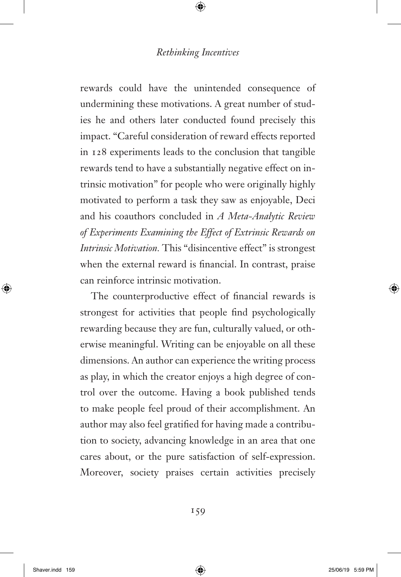rewards could have the unintended consequence of undermining these motivations. A great number of studies he and others later conducted found precisely this impact. "Careful consideration of reward effects reported in 128 experiments leads to the conclusion that tangible rewards tend to have a substantially negative effect on intrinsic motivation" for people who were originally highly motivated to perform a task they saw as enjoyable, Deci and his coauthors concluded in *A Meta-Analytic Review of Experiments Examining the Effect of Extrinsic Rewards on Intrinsic Motivation.* This "disincentive effect" is strongest when the external reward is financial. In contrast, praise can reinforce intrinsic motivation.

The counterproductive effect of financial rewards is strongest for activities that people find psychologically rewarding because they are fun, culturally valued, or otherwise meaningful. Writing can be enjoyable on all these dimensions. An author can experience the writing process as play, in which the creator enjoys a high degree of control over the outcome. Having a book published tends to make people feel proud of their accomplishment. An author may also feel gratified for having made a contribution to society, advancing knowledge in an area that one cares about, or the pure satisfaction of self-expression. Moreover, society praises certain activities precisely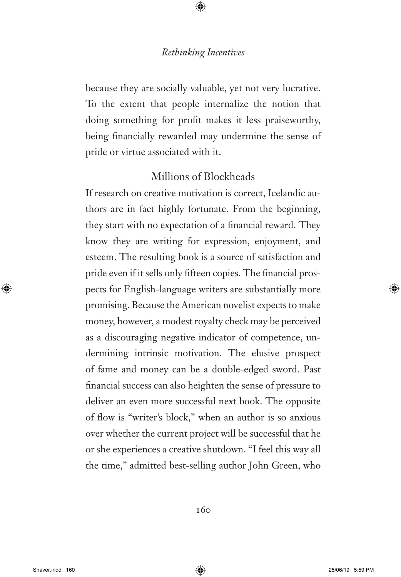because they are socially valuable, yet not very lucrative. To the extent that people internalize the notion that doing something for profit makes it less praiseworthy, being financially rewarded may undermine the sense of pride or virtue associated with it.

# Millions of Blockheads

If research on creative motivation is correct, Icelandic authors are in fact highly fortunate. From the beginning, they start with no expectation of a financial reward. They know they are writing for expression, enjoyment, and esteem. The resulting book is a source of satisfaction and pride even if it sells only fifteen copies. The financial prospects for English-language writers are substantially more promising. Because the American novelist expects to make money, however, a modest royalty check may be perceived as a discouraging negative indicator of competence, undermining intrinsic motivation. The elusive prospect of fame and money can be a double-edged sword. Past financial success can also heighten the sense of pressure to deliver an even more successful next book. The opposite of flow is "writer's block," when an author is so anxious over whether the current project will be successful that he or she experiences a creative shutdown. "I feel this way all the time," admitted best-selling author John Green, who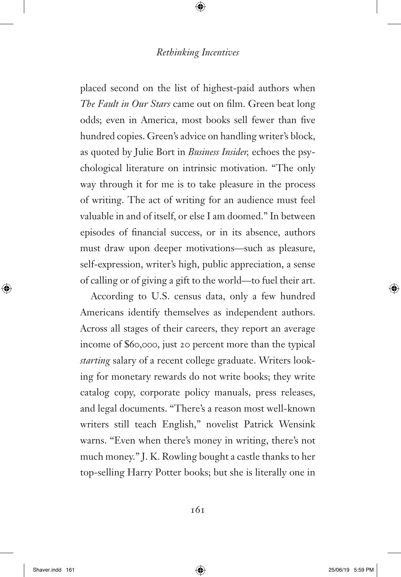placed second on the list of highest-paid authors when *The Fault in Our Stars* came out on film. Green beat long odds; even in America, most books sell fewer than five hundred copies. Green's advice on handling writer's block, as quoted by Julie Bort in *Business Insider,* echoes the psychological literature on intrinsic motivation. "The only way through it for me is to take pleasure in the process of writing. The act of writing for an audience must feel valuable in and of itself, or else I am doomed." In between episodes of financial success, or in its absence, authors must draw upon deeper motivations—such as pleasure, self-expression, writer's high, public appreciation, a sense of calling or of giving a gift to the world—to fuel their art.

According to U.S. census data, only a few hundred Americans identify themselves as independent authors. Across all stages of their careers, they report an average income of \$60,000, just 20 percent more than the typical *starting* salary of a recent college graduate. Writers looking for monetary rewards do not write books; they write catalog copy, corporate policy manuals, press releases, and legal documents. "There's a reason most well-known writers still teach English," novelist Patrick Wensink warns. "Even when there's money in writing, there's not much money." J. K. Rowling bought a castle thanks to her top-selling Harry Potter books; but she is literally one in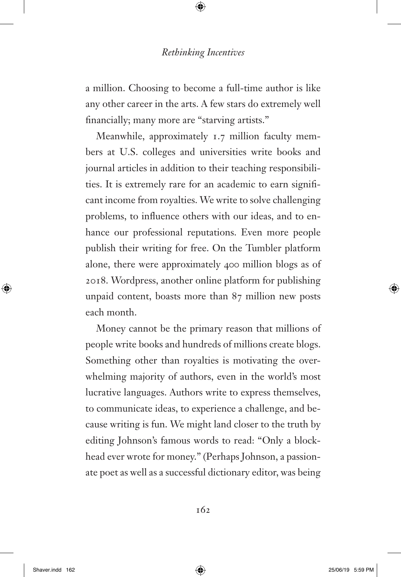a million. Choosing to become a full-time author is like any other career in the arts. A few stars do extremely well financially; many more are "starving artists."

Meanwhile, approximately 1.7 million faculty members at U.S. colleges and universities write books and journal articles in addition to their teaching responsibilities. It is extremely rare for an academic to earn significant income from royalties. We write to solve challenging problems, to influence others with our ideas, and to enhance our professional reputations. Even more people publish their writing for free. On the Tumbler platform alone, there were approximately 400 million blogs as of 2018. Wordpress, another online platform for publishing unpaid content, boasts more than 87 million new posts each month.

Money cannot be the primary reason that millions of people write books and hundreds of millions create blogs. Something other than royalties is motivating the overwhelming majority of authors, even in the world's most lucrative languages. Authors write to express themselves, to communicate ideas, to experience a challenge, and because writing is fun. We might land closer to the truth by editing Johnson's famous words to read: "Only a blockhead ever wrote for money." (Perhaps Johnson, a passionate poet as well as a successful dictionary editor, was being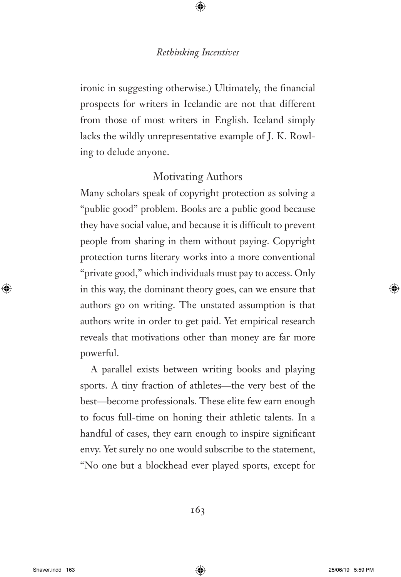ironic in suggesting otherwise.) Ultimately, the financial prospects for writers in Icelandic are not that different from those of most writers in English. Iceland simply lacks the wildly unrepresentative example of J. K. Rowling to delude anyone.

# Motivating Authors

Many scholars speak of copyright protection as solving a "public good" problem. Books are a public good because they have social value, and because it is difficult to prevent people from sharing in them without paying. Copyright protection turns literary works into a more conventional "private good," which individuals must pay to access. Only in this way, the dominant theory goes, can we ensure that authors go on writing. The unstated assumption is that authors write in order to get paid. Yet empirical research reveals that motivations other than money are far more powerful.

A parallel exists between writing books and playing sports. A tiny fraction of athletes—the very best of the best—become professionals. These elite few earn enough to focus full-time on honing their athletic talents. In a handful of cases, they earn enough to inspire significant envy. Yet surely no one would subscribe to the statement, "No one but a blockhead ever played sports, except for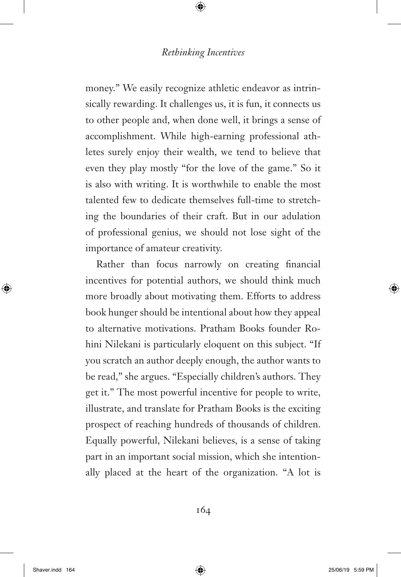money." We easily recognize athletic endeavor as intrinsically rewarding. It challenges us, it is fun, it connects us to other people and, when done well, it brings a sense of accomplishment. While high-earning professional athletes surely enjoy their wealth, we tend to believe that even they play mostly "for the love of the game." So it is also with writing. It is worthwhile to enable the most talented few to dedicate themselves full-time to stretching the boundaries of their craft. But in our adulation of professional genius, we should not lose sight of the importance of amateur creativity.

Rather than focus narrowly on creating financial incentives for potential authors, we should think much more broadly about motivating them. Efforts to address book hunger should be intentional about how they appeal to alternative motivations. Pratham Books founder Rohini Nilekani is particularly eloquent on this subject. "If you scratch an author deeply enough, the author wants to be read," she argues. "Especially children's authors. They get it." The most powerful incentive for people to write, illustrate, and translate for Pratham Books is the exciting prospect of reaching hundreds of thousands of children. Equally powerful, Nilekani believes, is a sense of taking part in an important social mission, which she intentionally placed at the heart of the organization. "A lot is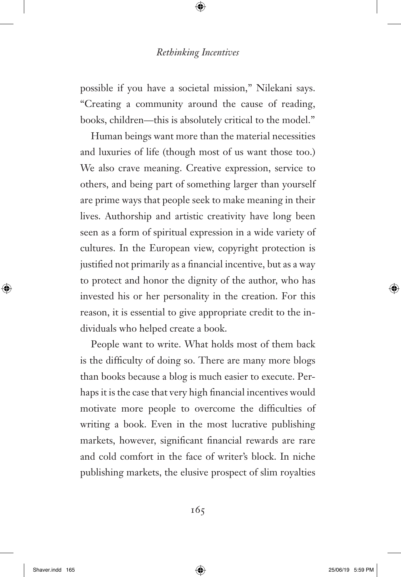possible if you have a societal mission," Nilekani says. "Creating a community around the cause of reading, books, children—this is absolutely critical to the model."

Human beings want more than the material necessities and luxuries of life (though most of us want those too.) We also crave meaning. Creative expression, service to others, and being part of something larger than yourself are prime ways that people seek to make meaning in their lives. Authorship and artistic creativity have long been seen as a form of spiritual expression in a wide variety of cultures. In the European view, copyright protection is justified not primarily as a financial incentive, but as a way to protect and honor the dignity of the author, who has invested his or her personality in the creation. For this reason, it is essential to give appropriate credit to the individuals who helped create a book.

People want to write. What holds most of them back is the difficulty of doing so. There are many more blogs than books because a blog is much easier to execute. Perhaps it is the case that very high financial incentives would motivate more people to overcome the difficulties of writing a book. Even in the most lucrative publishing markets, however, significant financial rewards are rare and cold comfort in the face of writer's block. In niche publishing markets, the elusive prospect of slim royalties